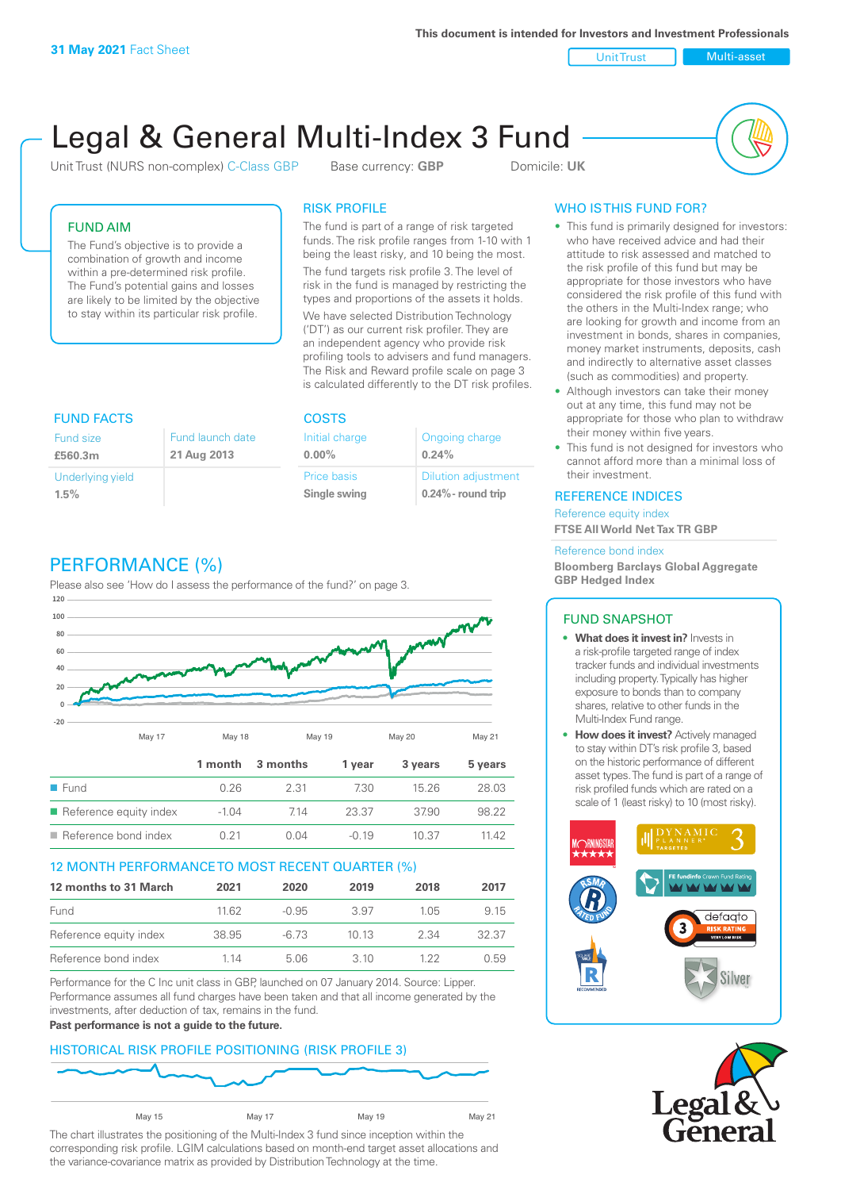Unit Trust Nulti-asset

# Legal & General Multi-Index 3 Fund

Unit Trust (NURS non-complex) C-Class GBP Base currency: **GBP** Domicile: UK



# FUND AIM

The Fund's objective is to provide a combination of growth and income within a pre-determined risk profile. The Fund's potential gains and losses are likely to be limited by the objective to stay within its particular risk profile.

# RISK PROFILE

The fund is part of a range of risk targeted funds. The risk profile ranges from 1-10 with 1 being the least risky, and 10 being the most.

The fund targets risk profile 3. The level of risk in the fund is managed by restricting the types and proportions of the assets it holds. We have selected Distribution Technology ('DT') as our current risk profiler. They are an independent agency who provide risk profiling tools to advisers and fund managers. The Risk and Reward profile scale on page 3 is calculated differently to the DT risk profiles.

| <b>FUND FACTS</b> |                  | <b>COSTS</b>   |                            |  |
|-------------------|------------------|----------------|----------------------------|--|
| Fund size         | Fund launch date | Initial charge | Ongoing charge             |  |
| £560.3m           | 21 Aug 2013      | $0.00\%$       | 0.24%                      |  |
| Underlying yield  |                  | Price basis    | <b>Dilution adjustment</b> |  |
| 1.5%              |                  | Single swing   | $0.24\%$ - round trip      |  |

# PERFORMANCE (%)

Please also see 'How do I assess the performance of the fund?' on page 3.



# 12 MONTH PERFORMANCE TO MOST RECENT QUARTER (%)

| 12 months to 31 March  | 2021  | 2020    | 2019  | 2018 | 2017  |
|------------------------|-------|---------|-------|------|-------|
| Fund                   | 11.62 | $-0.95$ | 3.97  | 105  | 9.15  |
| Reference equity index | 38.95 | -6.73   | 10 13 | 2.34 | 32.37 |
| Reference bond index   | 1 14  | 5.06    | 3 10  | 1 22 | 0.59  |

Performance for the C Inc unit class in GBP, launched on 07 January 2014. Source: Lipper. Performance assumes all fund charges have been taken and that all income generated by the investments, after deduction of tax, remains in the fund.

#### **Past performance is not a guide to the future.**

# HISTORICAL RISK PROFILE POSITIONING (RISK PROFILE 3)



The chart illustrates the positioning of the Multi-Index 3 fund since inception within the corresponding risk profile. LGIM calculations based on month-end target asset allocations and the variance-covariance matrix as provided by Distribution Technology at the time.

# WHO IS THIS FUND FOR?

- This fund is primarily designed for investors: who have received advice and had their attitude to risk assessed and matched to the risk profile of this fund but may be appropriate for those investors who have considered the risk profile of this fund with the others in the Multi-Index range; who are looking for growth and income from an investment in bonds, shares in companies, money market instruments, deposits, cash and indirectly to alternative asset classes (such as commodities) and property.
- Although investors can take their money out at any time, this fund may not be appropriate for those who plan to withdraw their money within five years.
- This fund is not designed for investors who cannot afford more than a minimal loss of their investment.

# REFERENCE INDICES

Reference equity index **FTSE All World Net Tax TR GBP**

#### Reference bond index

**Bloomberg Barclays Global Aggregate GBP Hedged Index**

# FUND SNAPSHOT

- **• What does it invest in?** Invests in a risk-profile targeted range of index tracker funds and individual investments including property. Typically has higher exposure to bonds than to company shares, relative to other funds in the Multi-Index Fund range.
- **• How does it invest?** Actively managed to stay within DT's risk profile 3, based on the historic performance of different asset types. The fund is part of a range of risk profiled funds which are rated on a scale of 1 (least risky) to 10 (most risky).



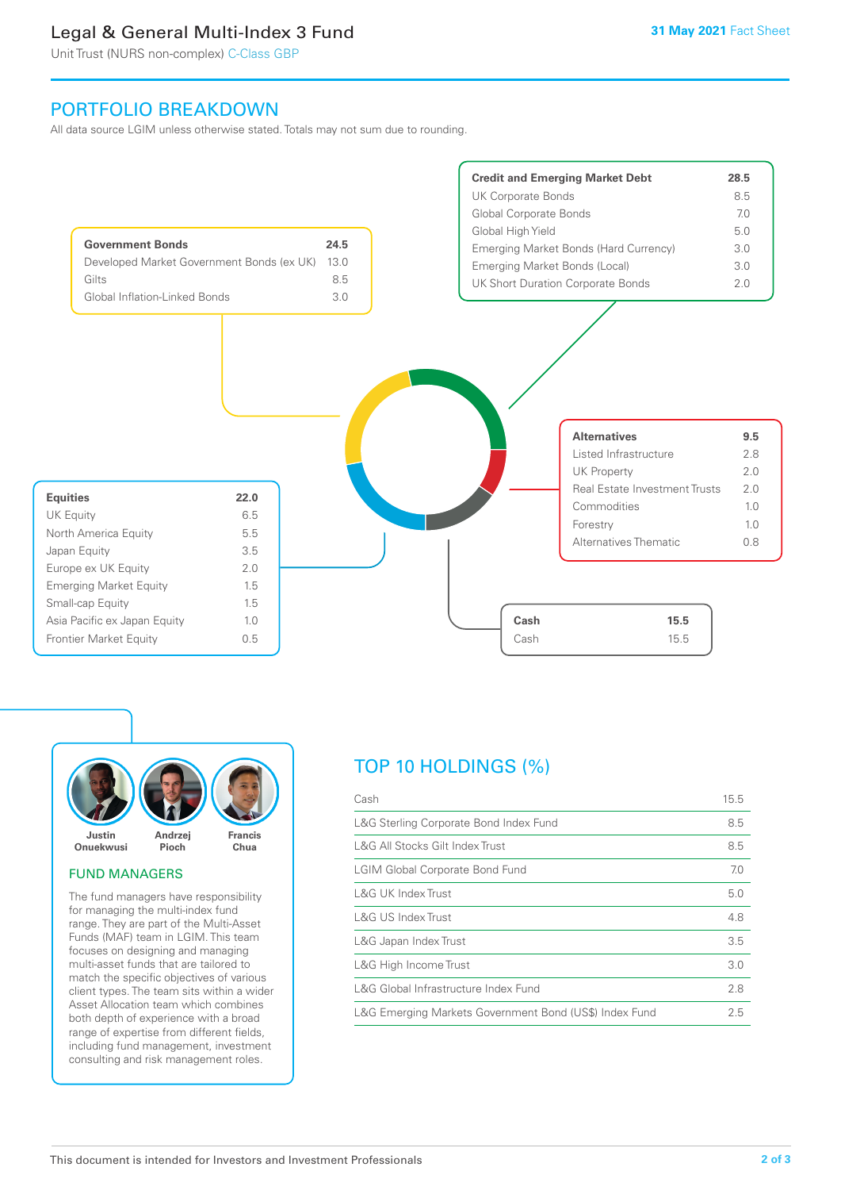# Legal & General Multi-Index 3 Fund

Unit Trust (NURS non-complex) C-Class GBP

# PORTFOLIO BREAKDOWN

All data source LGIM unless otherwise stated. Totals may not sum due to rounding.





#### FUND MANAGERS

The fund managers have responsibility for managing the multi-index fund range. They are part of the Multi-Asset Funds (MAF) team in LGIM. This team focuses on designing and managing multi-asset funds that are tailored to match the specific objectives of various client types. The team sits within a wider Asset Allocation team which combines both depth of experience with a broad range of expertise from different fields, including fund management, investment consulting and risk management roles.

# TOP 10 HOLDINGS (%)

| Cash                                                   | 15.5 |
|--------------------------------------------------------|------|
| L&G Sterling Corporate Bond Index Fund                 | 8.5  |
| L&G All Stocks Gilt Index Trust                        | 8.5  |
| <b>LGIM Global Corporate Bond Fund</b>                 | 7.0  |
| L&G UK Index Trust                                     | 5.0  |
| <b>L&amp;G US Index Trust</b>                          | 4.8  |
| L&G Japan Index Trust                                  | 3.5  |
| L&G High Income Trust                                  | 3.0  |
| L&G Global Infrastructure Index Fund                   | 2.8  |
| L&G Emerging Markets Government Bond (US\$) Index Fund | 2.5  |